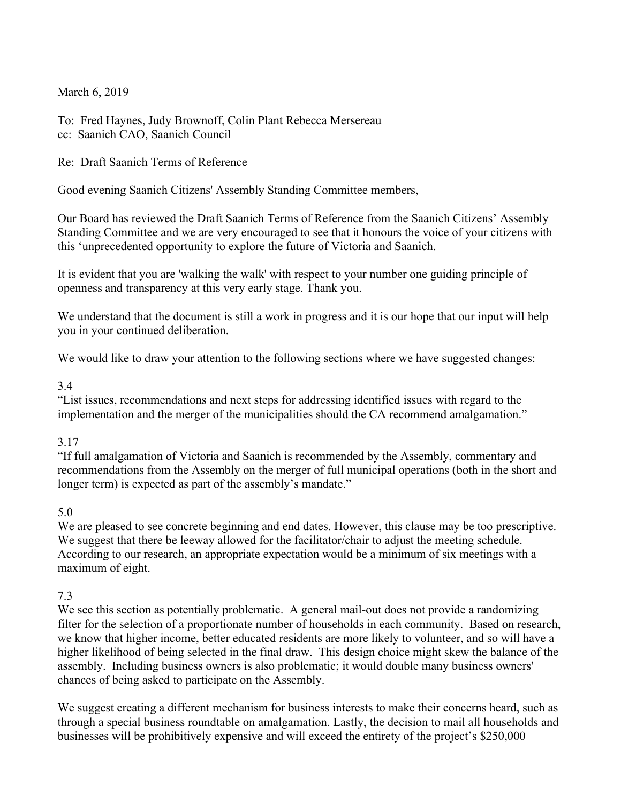March 6, 2019

To: Fred Haynes, Judy Brownoff, Colin Plant Rebecca Mersereau cc: Saanich CAO, Saanich Council

Re: Draft Saanich Terms of Reference

Good evening Saanich Citizens' Assembly Standing Committee members,

Our Board has reviewed the Draft Saanich Terms of Reference from the Saanich Citizens' Assembly Standing Committee and we are very encouraged to see that it honours the voice of your citizens with this 'unprecedented opportunity to explore the future of Victoria and Saanich.

It is evident that you are 'walking the walk' with respect to your number one guiding principle of openness and transparency at this very early stage. Thank you.

We understand that the document is still a work in progress and it is our hope that our input will help you in your continued deliberation.

We would like to draw your attention to the following sections where we have suggested changes:

## 3.4

"List issues, recommendations and next steps for addressing identified issues with regard to the implementation and the merger of the municipalities should the CA recommend amalgamation."

### 3.17

"If full amalgamation of Victoria and Saanich is recommended by the Assembly, commentary and recommendations from the Assembly on the merger of full municipal operations (both in the short and longer term) is expected as part of the assembly's mandate."

### 5.0

We are pleased to see concrete beginning and end dates. However, this clause may be too prescriptive. We suggest that there be leeway allowed for the facilitator/chair to adjust the meeting schedule. According to our research, an appropriate expectation would be a minimum of six meetings with a maximum of eight.

# 7.3

We see this section as potentially problematic. A general mail-out does not provide a randomizing filter for the selection of a proportionate number of households in each community. Based on research, we know that higher income, better educated residents are more likely to volunteer, and so will have a higher likelihood of being selected in the final draw. This design choice might skew the balance of the assembly. Including business owners is also problematic; it would double many business owners' chances of being asked to participate on the Assembly.

We suggest creating a different mechanism for business interests to make their concerns heard, such as through a special business roundtable on amalgamation. Lastly, the decision to mail all households and businesses will be prohibitively expensive and will exceed the entirety of the project's \$250,000